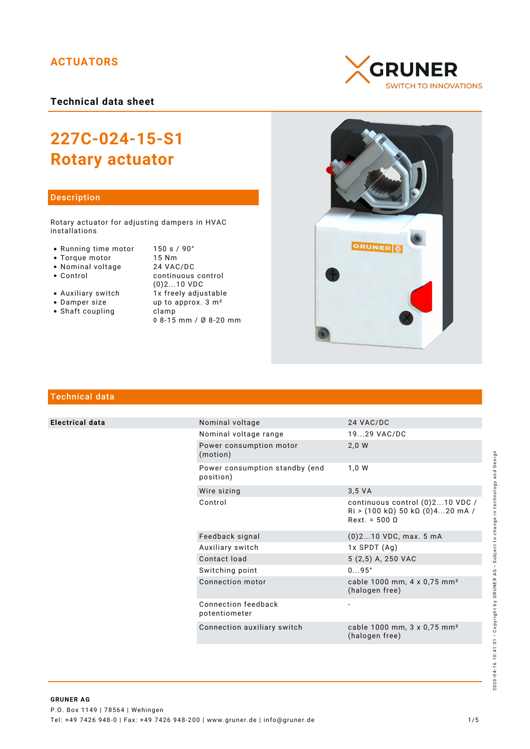# **ACTUATORS**

**Technical data sheet**

# **227C-024-15-S1 Rotary actuator**

## Description

Rotary actuator for adjusting dampers in HVAC installations

- 
- Torque motor
- 
- 
- 
- 
- Shaft coupling becamp

• Running time motor 150 s / 90°<br>• Torque motor 15 Nm Nominal voltage 24 VAC/DC continuous control (0)2...10 VDC • Auxiliary switch  $\overrightarrow{1}x$  freely adjustable<br>• Damper size  $\overrightarrow{1}y$  to approx. 3 m<sup>2</sup> up to approx.  $3 \text{ m}^2$ ◊ 8-15 mm / Ø 8-20 mm





# Technical data

**Electrical data** 

| Nominal voltage                             |  | 24 VAC/DC                                                                                                                    |  |
|---------------------------------------------|--|------------------------------------------------------------------------------------------------------------------------------|--|
| Nominal voltage range                       |  | 1929 VAC/DC                                                                                                                  |  |
| Power consumption motor<br>(motion)         |  | 2,0 W                                                                                                                        |  |
| Power consumption standby (end<br>position) |  | 1.0 W                                                                                                                        |  |
| Wire sizing                                 |  | 3.5 VA                                                                                                                       |  |
| Control                                     |  | continuous control (0)210 VDC /<br>$\text{Ri} > (100 \text{ k}\Omega) 50 \text{ k}\Omega (0)420 \text{ mA}$<br>$Rext = 5000$ |  |
| Feedback signal                             |  | $(0)$ 210 VDC, max. 5 mA                                                                                                     |  |
| Auxiliary switch                            |  | $1x$ SPDT $(Aq)$                                                                                                             |  |
| Contact load                                |  | 5 (2,5) A, 250 VAC                                                                                                           |  |
| Switching point                             |  | $0.95^\circ$                                                                                                                 |  |
| Connection motor                            |  | cable 1000 mm, 4 x 0,75 mm <sup>2</sup><br>(halogen free)                                                                    |  |
| Connection feedback<br>potentiometer        |  |                                                                                                                              |  |
| Connection auxiliary switch                 |  | cable 1000 mm, 3 x 0,75 mm <sup>2</sup><br>(halogen free)                                                                    |  |

# 2020-04-16 10:41:01 · Copyright by GRUNER AG · Subject to change in technology and Design 2020-04-16 10:41:01 • Copyright by GRUNER AG • Subject to change in technology and Design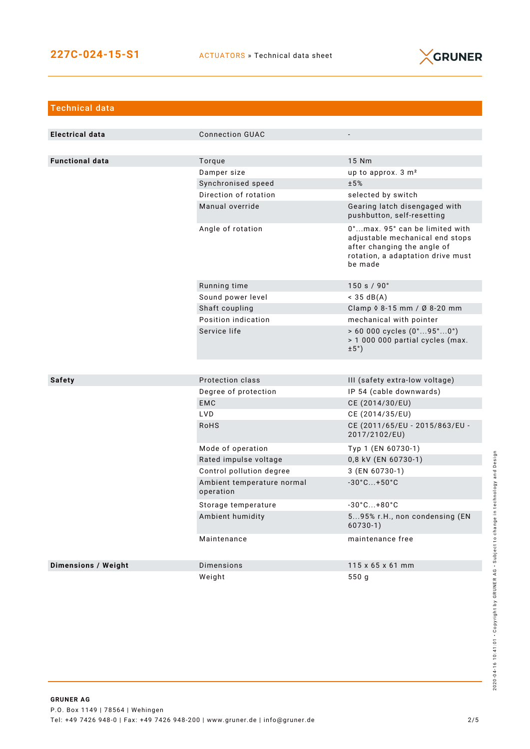

| <b>Technical data</b>      |                                         |                                                                                                                                                  |
|----------------------------|-----------------------------------------|--------------------------------------------------------------------------------------------------------------------------------------------------|
|                            |                                         |                                                                                                                                                  |
| <b>Electrical data</b>     | <b>Connection GUAC</b>                  | $\overline{\phantom{a}}$                                                                                                                         |
|                            |                                         |                                                                                                                                                  |
| <b>Functional data</b>     | Torque                                  | 15 Nm                                                                                                                                            |
|                            | Damper size                             | up to approx. 3 m <sup>2</sup>                                                                                                                   |
|                            | Synchronised speed                      | ±5%                                                                                                                                              |
|                            | Direction of rotation                   | selected by switch                                                                                                                               |
|                            | Manual override                         | Gearing latch disengaged with<br>pushbutton, self-resetting                                                                                      |
|                            | Angle of rotation                       | 0°max. 95° can be limited with<br>adjustable mechanical end stops<br>after changing the angle of<br>rotation, a adaptation drive must<br>be made |
|                            | Running time                            | 150 s / 90°                                                                                                                                      |
|                            | Sound power level                       | $<$ 35 dB(A)                                                                                                                                     |
|                            | Shaft coupling                          | Clamp $\Diamond$ 8-15 mm / Ø 8-20 mm                                                                                                             |
|                            | Position indication                     | mechanical with pointer                                                                                                                          |
|                            | Service life                            | $> 60000$ cycles $(0^{\circ}95^{\circ}0^{\circ})$<br>> 1 000 000 partial cycles (max.<br>$\pm 5^{\circ}$ )                                       |
|                            |                                         |                                                                                                                                                  |
| <b>Safety</b>              | Protection class                        | III (safety extra-low voltage)                                                                                                                   |
|                            | Degree of protection                    | IP 54 (cable downwards)                                                                                                                          |
|                            | <b>EMC</b>                              | CE (2014/30/EU)                                                                                                                                  |
|                            | <b>LVD</b>                              | CE (2014/35/EU)                                                                                                                                  |
|                            | <b>RoHS</b>                             | CE (2011/65/EU - 2015/863/EU -<br>2017/2102/EU)                                                                                                  |
|                            | Mode of operation                       | Typ 1 (EN 60730-1)                                                                                                                               |
|                            | Rated impulse voltage                   | 0,8 kV (EN 60730-1)                                                                                                                              |
|                            | Control pollution degree                | 3 (EN 60730-1)                                                                                                                                   |
|                            | Ambient temperature normal<br>operation | $-30^{\circ}$ C +50 $^{\circ}$ C                                                                                                                 |
|                            | Storage temperature                     | $-30^{\circ}$ C +80 $^{\circ}$ C                                                                                                                 |
|                            | Ambient humidity                        | 595% r.H., non condensing (EN<br>$60730-1)$                                                                                                      |
|                            | Maintenance                             | maintenance free                                                                                                                                 |
| <b>Dimensions / Weight</b> | Dimensions                              | 115 x 65 x 61 mm                                                                                                                                 |
|                            | Weight                                  | 550 g                                                                                                                                            |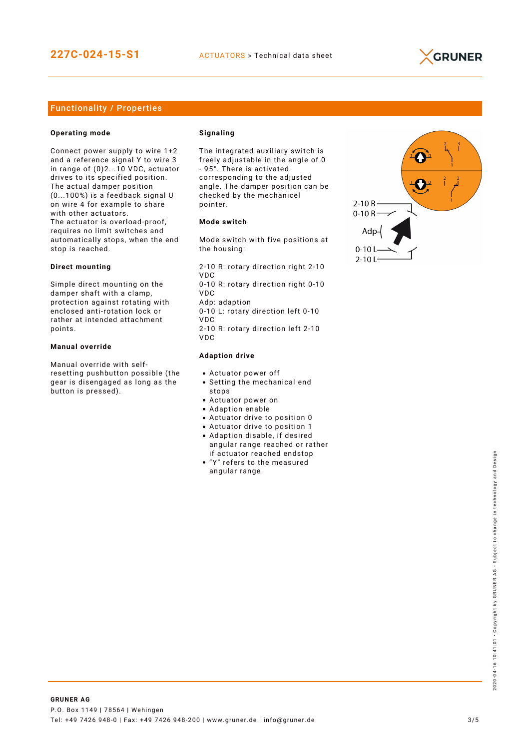

## Functionality / Properties

#### **Operating mode**

Connect power supply to wire 1+2 and a reference signal Y to wire 3 in range of (0)2...10 VDC, actuator drives to its specified position. The actual damper position (0...100%) is a feedback signal U on wire 4 for example to share with other actuators. The actuator is overload-proof, requires no limit switches and automatically stops, when the end stop is reached.

#### **Direct mounting**

Simple direct mounting on the damper shaft with a clamp, protection against rotating with enclosed anti-rotation lock or rather at intended attachment points.

#### **Manual override**

Manual override with selfresetting pushbutton possible (the gear is disengaged as long as the button is pressed).

#### **Signaling**

The integrated auxiliary switch is freely adjustable in the angle of 0 - 95°. There is activated corresponding to the adjusted angle. The damper position can be checked by the mechanicel pointer.

#### **Mode switch**

Mode switch with five positions at the housing:

2-10 R: rotary direction right 2-10 VDC 0-10 R: rotary direction right 0-10 VDC Adp: adaption 0-10 L: rotary direction left 0-10 VDC

2-10 R: rotary direction left 2-10 VDC

#### **Adaption drive**

- Actuator power off
- Setting the mechanical end stops
- Actuator power on
- Adaption enable
- Actuator drive to position 0
- Actuator drive to position 1
- Adaption disable, if desired angular range reached or rather if actuator reached endstop
- "Y" refers to the measured angular range

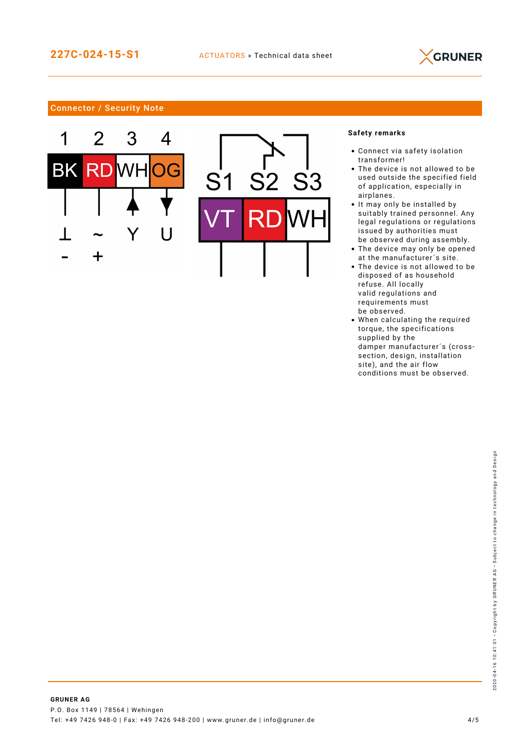

# Connector / Security Note





# **Safety remarks**

- Connect via safety isolation transformer!
- The device is not allowed to be used outside the specified field of application, especially in airplanes.
- It may only be installed by suitably trained personnel. Any legal regulations or regulations issued by authorities must be observed during assembly.
- The device may only be opened at the manufacturer´s site.
- The device is not allowed to be disposed of as household refuse. All locally valid regulations and requirements must be observed.
- When calculating the required torque, the specifications supplied by the damper manufacturer´s (crosssection, design, installation site), and the air flow conditions must be observed.